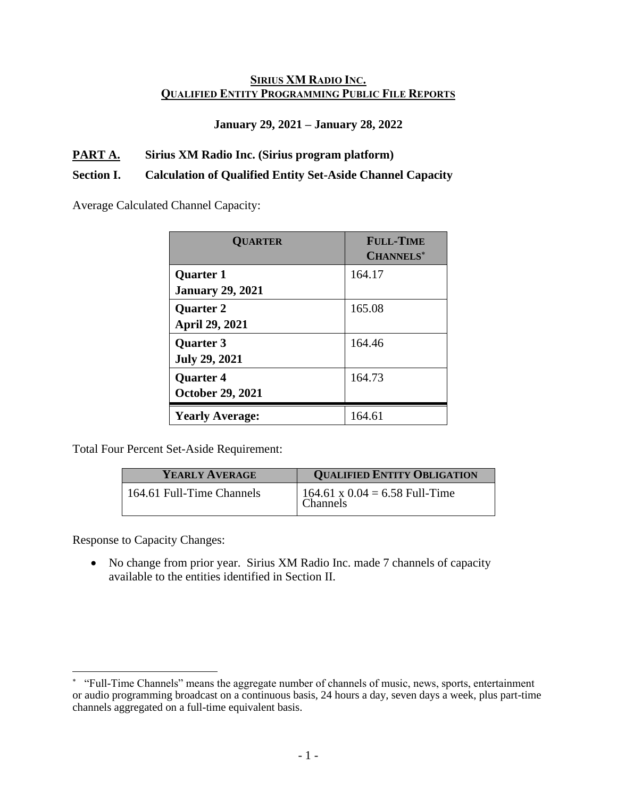### **SIRIUS XM RADIO INC. QUALIFIED ENTITY PROGRAMMING PUBLIC FILE REPORTS**

### **January 29, 2021 – January 28, 2022**

### **PART A. Sirius XM Radio Inc. (Sirius program platform)**

#### **Section I. Calculation of Qualified Entity Set-Aside Channel Capacity**

Average Calculated Channel Capacity:

| <b>QUARTER</b>          | <b>FULL-TIME</b><br><b>CHANNELS*</b> |
|-------------------------|--------------------------------------|
| <b>Quarter 1</b>        | 164.17                               |
| <b>January 29, 2021</b> |                                      |
| <b>Quarter 2</b>        | 165.08                               |
| <b>April 29, 2021</b>   |                                      |
| <b>Quarter 3</b>        | 164.46                               |
| <b>July 29, 2021</b>    |                                      |
| <b>Quarter 4</b>        | 164.73                               |
| <b>October 29, 2021</b> |                                      |
| <b>Yearly Average:</b>  | 164.61                               |

Total Four Percent Set-Aside Requirement:

| YEARLY AVERAGE            | <b>QUALIFIED ENTITY OBLIGATION</b>           |
|---------------------------|----------------------------------------------|
| 164.61 Full-Time Channels | 164.61 x $0.04 = 6.58$ Full-Time<br>Channels |

Response to Capacity Changes:

• No change from prior year. Sirius XM Radio Inc. made 7 channels of capacity available to the entities identified in Section II.

 "Full-Time Channels" means the aggregate number of channels of music, news, sports, entertainment or audio programming broadcast on a continuous basis, 24 hours a day, seven days a week, plus part-time channels aggregated on a full-time equivalent basis.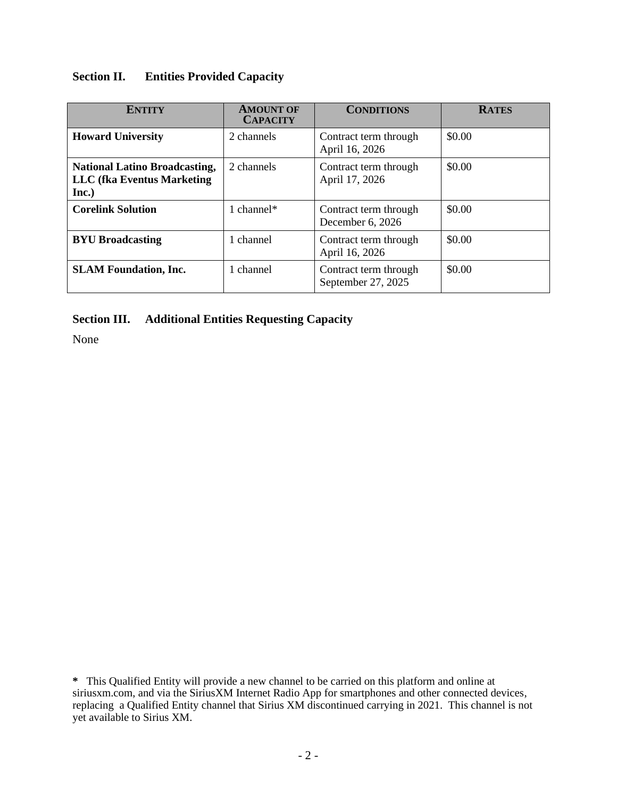# **Section II. Entities Provided Capacity**

| <b>ENTITY</b>                                                                      | <b>AMOUNT OF</b><br><b>CAPACITY</b> | <b>CONDITIONS</b>                           | <b>RATES</b> |
|------------------------------------------------------------------------------------|-------------------------------------|---------------------------------------------|--------------|
| <b>Howard University</b>                                                           | 2 channels                          | Contract term through<br>April 16, 2026     | \$0.00       |
| <b>National Latino Broadcasting,</b><br><b>LLC</b> (fka Eventus Marketing<br>Inc.) | 2 channels                          | Contract term through<br>April 17, 2026     | \$0.00       |
| <b>Corelink Solution</b>                                                           | 1 channel $*$                       | Contract term through<br>December 6, 2026   | \$0.00       |
| <b>BYU Broadcasting</b>                                                            | 1 channel                           | Contract term through<br>April 16, 2026     | \$0.00       |
| <b>SLAM Foundation, Inc.</b>                                                       | 1 channel                           | Contract term through<br>September 27, 2025 | \$0.00       |

## **Section III. Additional Entities Requesting Capacity**

None

**<sup>\*</sup>** This Qualified Entity will provide a new channel to be carried on this platform and online at siriusxm.com, and via the SiriusXM Internet Radio App for smartphones and other connected devices, replacing a Qualified Entity channel that Sirius XM discontinued carrying in 2021. This channel is not yet available to Sirius XM.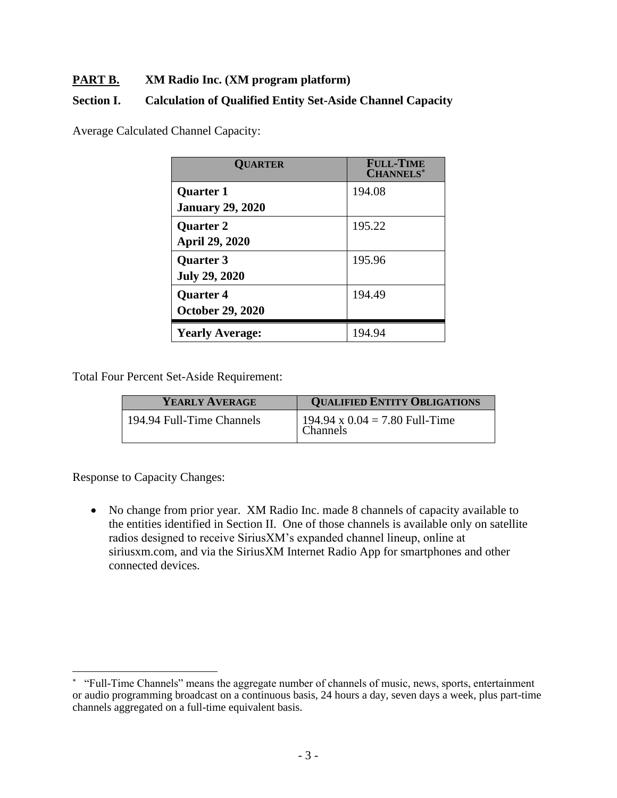## **PART B. XM Radio Inc. (XM program platform)**

### **Section I. Calculation of Qualified Entity Set-Aside Channel Capacity**

Average Calculated Channel Capacity:

| <b>QUARTER</b>          | <b>FULL-TIME</b><br><b>CHANNELS*</b> |
|-------------------------|--------------------------------------|
| <b>Quarter 1</b>        | 194.08                               |
| <b>January 29, 2020</b> |                                      |
| <b>Quarter 2</b>        | 195.22                               |
| <b>April 29, 2020</b>   |                                      |
| <b>Quarter 3</b>        | 195.96                               |
| <b>July 29, 2020</b>    |                                      |
| <b>Quarter 4</b>        | 194.49                               |
| <b>October 29, 2020</b> |                                      |
| <b>Yearly Average:</b>  | 194.94                               |

Total Four Percent Set-Aside Requirement:

| YEARLY AVERAGE            | <b>QUALIFIED ENTITY OBLIGATIONS</b>          |
|---------------------------|----------------------------------------------|
| 194.94 Full-Time Channels | 194.94 x $0.04 = 7.80$ Full-Time<br>Channels |

Response to Capacity Changes:

• No change from prior year. XM Radio Inc. made 8 channels of capacity available to the entities identified in Section II. One of those channels is available only on satellite radios designed to receive SiriusXM's expanded channel lineup, online at siriusxm.com, and via the SiriusXM Internet Radio App for smartphones and other connected devices.

 "Full-Time Channels" means the aggregate number of channels of music, news, sports, entertainment or audio programming broadcast on a continuous basis, 24 hours a day, seven days a week, plus part-time channels aggregated on a full-time equivalent basis.